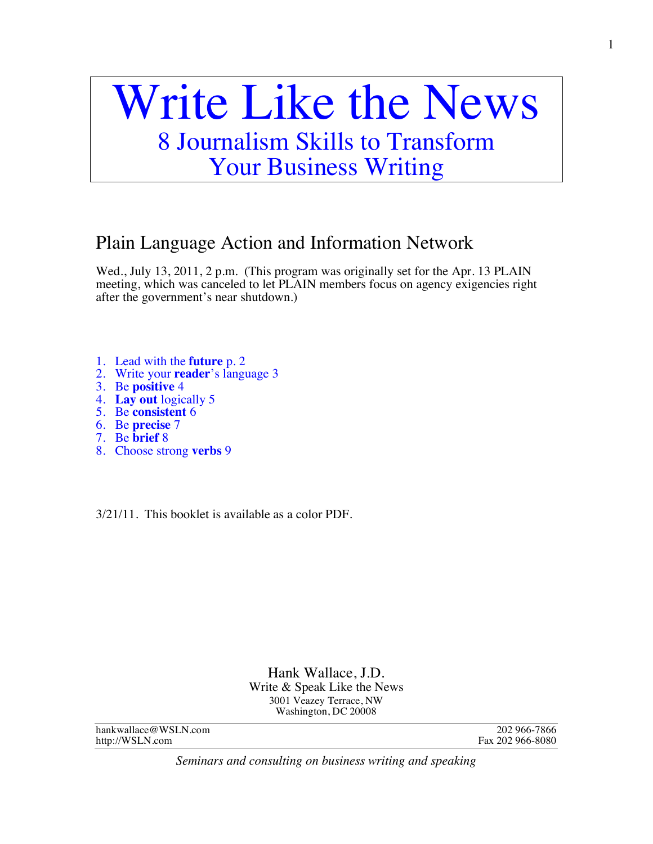# Write Like the News 8 Journalism Skills to Transform

Your Business Writing

# Plain Language Action and Information Network

Wed., July 13, 2011, 2 p.m. (This program was originally set for the Apr. 13 PLAIN meeting, which was canceled to let PLAIN members focus on agency exigencies right after the government's near shutdown.)

- 1. Lead with the **future** p. 2
- 2. Write your **reader**'s language 3
- 3. Be **positive** 4
- 4. **Lay out** logically 5
- 5. Be **consistent** 6
- 6. Be **precise** 7
- 7. Be **brief** 8
- 8. Choose strong **verbs** 9

3/21/11. This booklet is available as a color PDF.

Hank Wallace, J.D. Write & Speak Like the News 3001 Veazey Terrace, NW Washington, DC 20008

hankwallace @WSLN.com 202 966-7866<br>http://WSLN.com 202 966-8080 http://WSLN.com

*Seminars and consulting on business writing and speaking*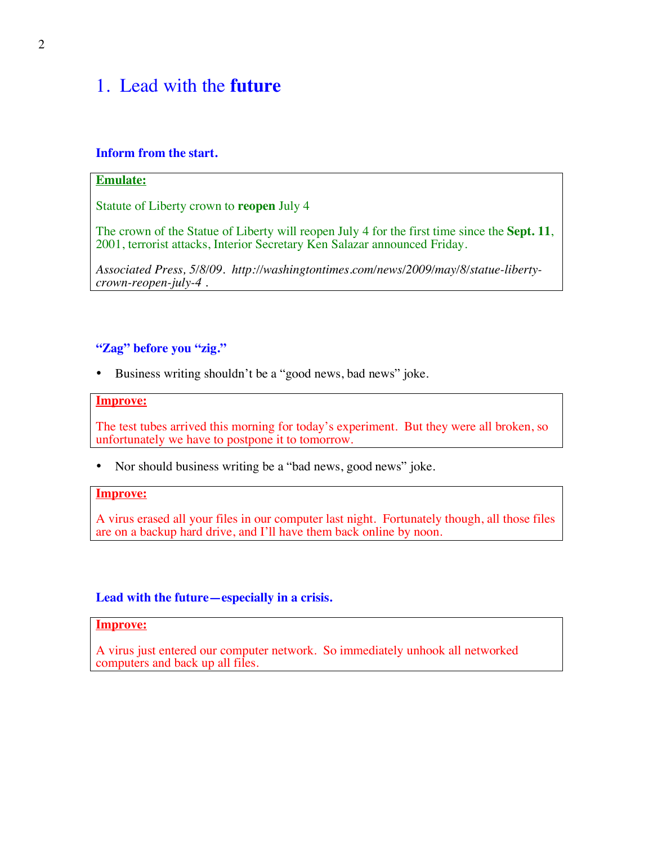## 1. Lead with the **future**

#### **Inform from the start.**

#### **Emulate:**

Statute of Liberty crown to **reopen** July 4

The crown of the Statue of Liberty will reopen July 4 for the first time since the **Sept. 11**, 2001, terrorist attacks, Interior Secretary Ken Salazar announced Friday.

*Associated Press, 5/8/09. http://washingtontimes.com/news/2009/may/8/statue-libertycrown-reopen-july-4 .*

#### **"Zag" before you "zig."**

• Business writing shouldn't be a "good news, bad news" joke.

#### **Improve:**

The test tubes arrived this morning for today's experiment. But they were all broken, so unfortunately we have to postpone it to tomorrow.

• Nor should business writing be a "bad news, good news" joke.

#### **Improve:**

A virus erased all your files in our computer last night. Fortunately though, all those files are on a backup hard drive, and I'll have them back online by noon.

#### **Lead with the future—especially in a crisis.**

#### **Improve:**

A virus just entered our computer network. So immediately unhook all networked computers and back up all files.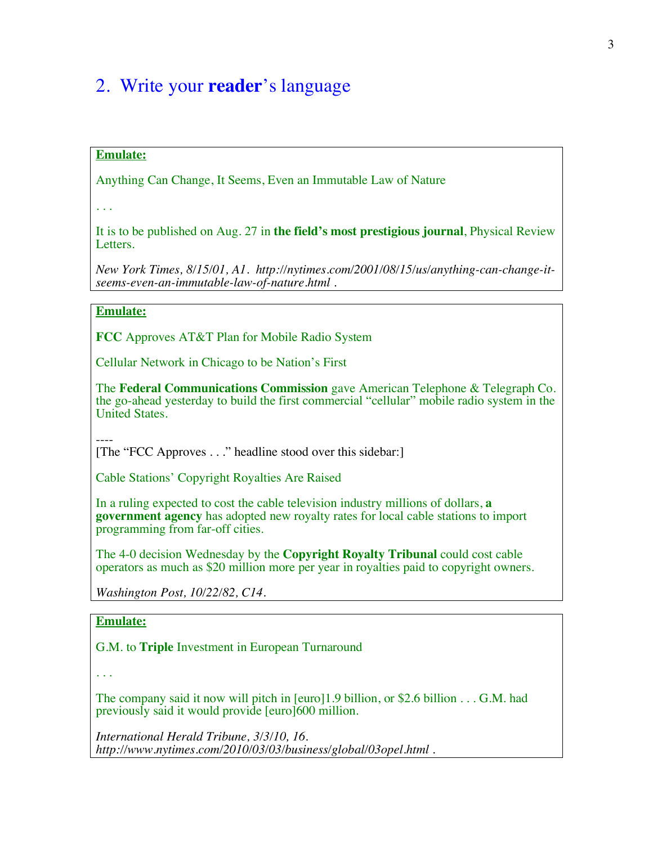## 2. Write your **reader**'s language

#### **Emulate:**

Anything Can Change, It Seems, Even an Immutable Law of Nature

. . .

It is to be published on Aug. 27 in **the field's most prestigious journal**, Physical Review Letters.

*New York Times, 8/15/01, A1. http://nytimes.com/2001/08/15/us/anything-can-change-itseems-even-an-immutable-law-of-nature.html* .

#### **Emulate:**

**FCC** Approves AT&T Plan for Mobile Radio System

Cellular Network in Chicago to be Nation's First

The **Federal Communications Commission** gave American Telephone & Telegraph Co. the go-ahead yesterday to build the first commercial "cellular" mobile radio system in the United States.

---- [The "FCC Approves . . ." headline stood over this sidebar:]

Cable Stations' Copyright Royalties Are Raised

In a ruling expected to cost the cable television industry millions of dollars, **a government agency** has adopted new royalty rates for local cable stations to import programming from far-off cities.

The 4-0 decision Wednesday by the **Copyright Royalty Tribunal** could cost cable operators as much as \$20 million more per year in royalties paid to copyright owners.

*Washington Post, 10/22/82, C14.*

#### **Emulate:**

G.M. to **Triple** Investment in European Turnaround

. . .

The company said it now will pitch in [euro]1.9 billion, or \$2.6 billion . . . G.M. had previously said it would provide [euro]600 million.

*International Herald Tribune, 3/3/10, 16. http://www.nytimes.com/2010/03/03/business/global/03opel.html .*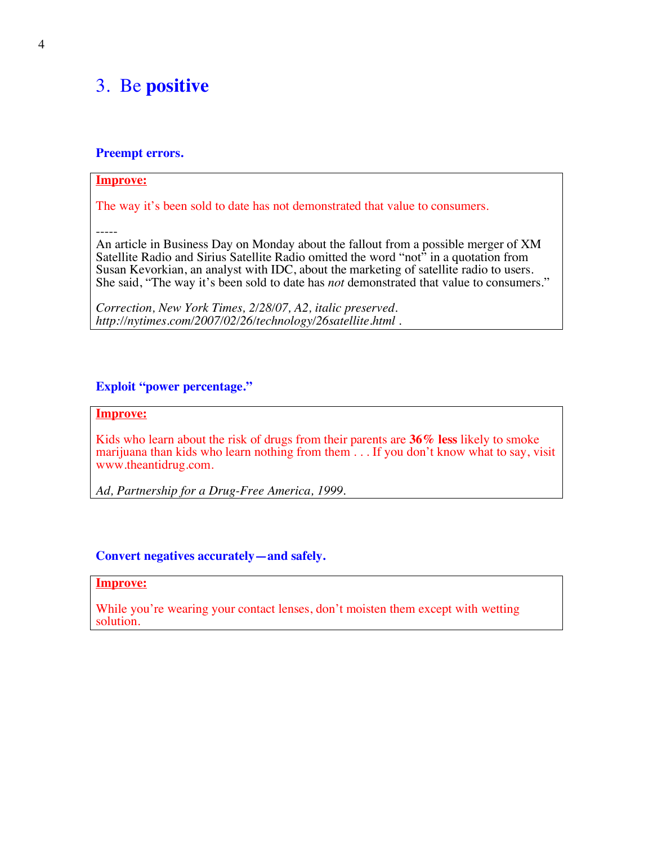## 3. Be **positive**

#### **Preempt errors.**

#### **Improve:**

The way it's been sold to date has not demonstrated that value to consumers.

-----

An article in Business Day on Monday about the fallout from a possible merger of XM Satellite Radio and Sirius Satellite Radio omitted the word "not" in a quotation from Susan Kevorkian, an analyst with IDC, about the marketing of satellite radio to users. She said, "The way it's been sold to date has *not* demonstrated that value to consumers."

*Correction, New York Times, 2/28/07, A2, italic preserved. http://nytimes.com/2007/02/26/technology/26satellite.html* .

#### **Exploit "power percentage."**

#### **Improve:**

Kids who learn about the risk of drugs from their parents are **36% less** likely to smoke marijuana than kids who learn nothing from them . . . If you don't know what to say, visit www.theantidrug.com.

*Ad, Partnership for a Drug-Free America, 1999.*

#### **Convert negatives accurately—and safely.**

#### **Improve:**

While you're wearing your contact lenses, don't moisten them except with wetting solution.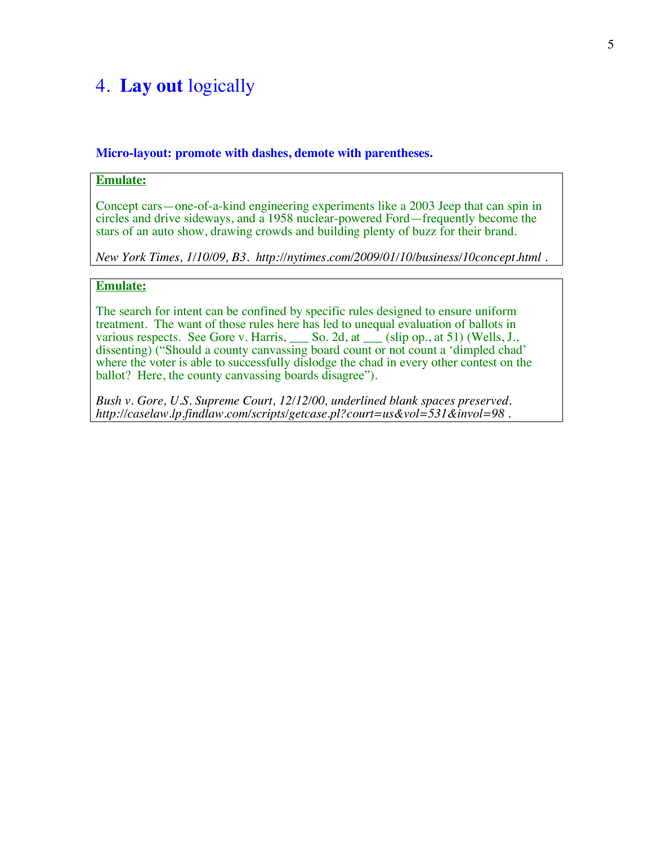## 4. **Lay out** logically

#### **Micro-layout: promote with dashes, demote with parentheses.**

#### **Emulate:**

Concept cars—one-of-a-kind engineering experiments like a 2003 Jeep that can spin in circles and drive sideways, and a 1958 nuclear-powered Ford—frequently become the stars of an auto show, drawing crowds and building plenty of buzz for their brand.

*New York Times, 1/10/09, B3. http://nytimes.com/2009/01/10/business/10concept.html .*

#### **Emulate:**

The search for intent can be confined by specific rules designed to ensure uniform treatment. The want of those rules here has led to unequal evaluation of ballots in various respects. See Gore v. Harris, So. 2d, at Solution of Sansai metrics in dissenting) ("Should a county canvassing board count or not count a 'dimpled chad' where the voter is able to successfully dislodge the chad in every other contest on the ballot? Here, the county canvassing boards disagree").

*Bush v. Gore, U.S. Supreme Court, 12/12/00, underlined blank spaces preserved. http://caselaw.lp.findlaw.com/scripts/getcase.pl?court=us&vol=531&invol=98* .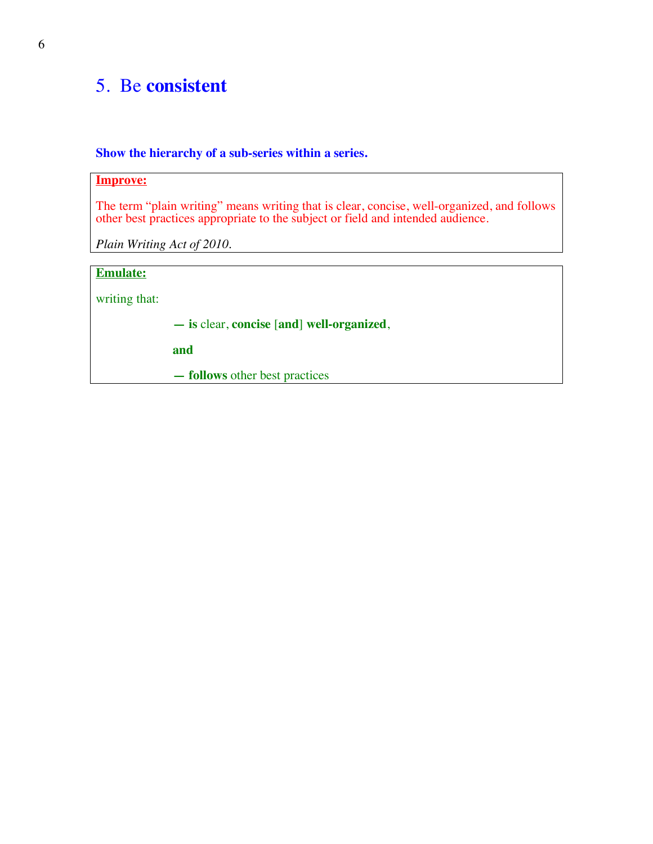## 5. Be **consistent**

#### **Show the hierarchy of a sub-series within a series.**

#### **Improve:**

The term "plain writing" means writing that is clear, concise, well-organized, and follows other best practices appropriate to the subject or field and intended audience.

*Plain Writing Act of 2010.*

#### **Emulate:**

writing that:

**— is** clear, **concise** [**and**] **well-organized**,

**and**

**— follows** other best practices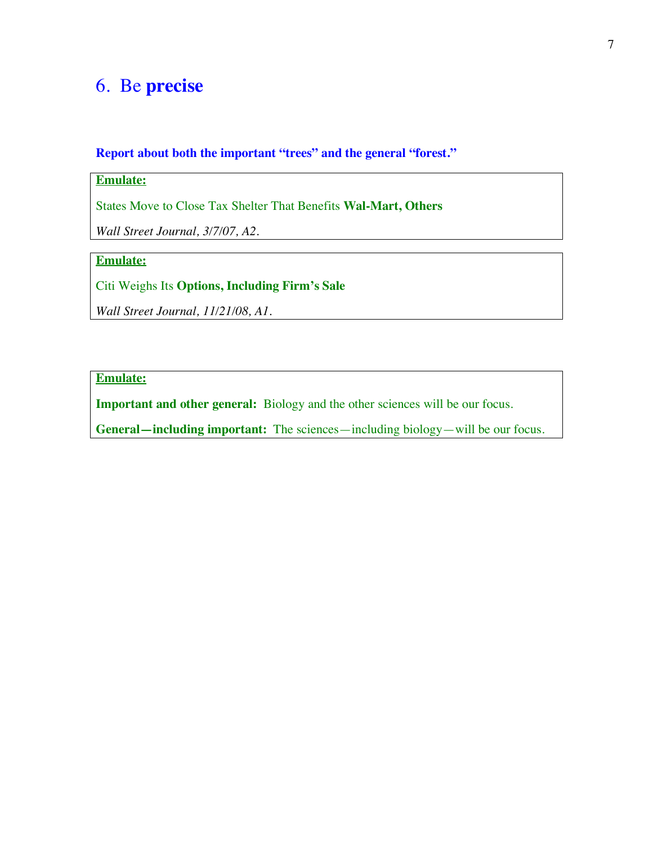## 6. Be **precise**

**Report about both the important "trees" and the general "forest."**

### **Emulate:**

States Move to Close Tax Shelter That Benefits **Wal-Mart, Others**

*Wall Street Journal, 3/7/07, A2.*

## **Emulate:**

Citi Weighs Its **Options, Including Firm's Sale**

*Wall Street Journal, 11/21/08, A1.*

#### **Emulate:**

**Important and other general:** Biology and the other sciences will be our focus.

**General—including important:** The sciences—including biology—will be our focus.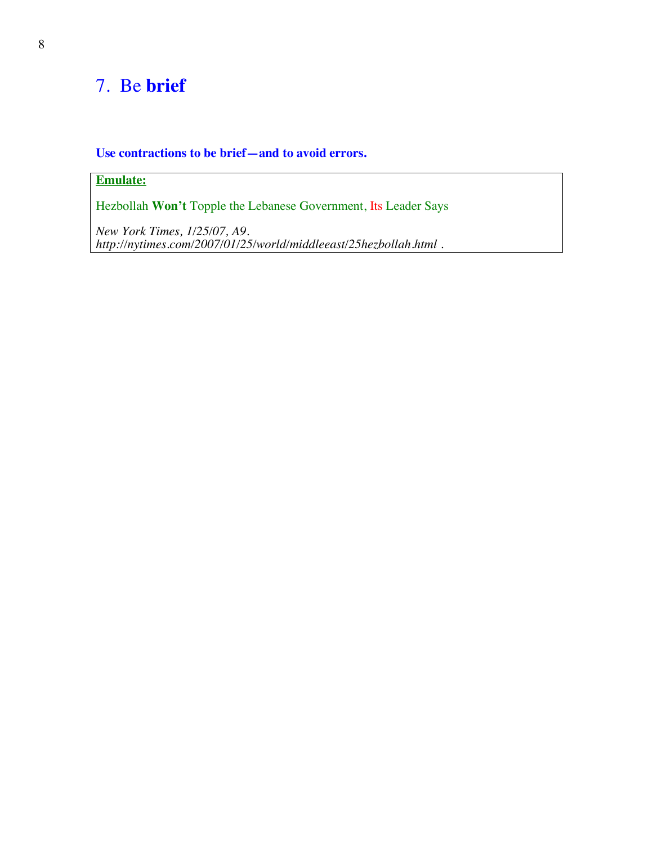# 7. Be **brief**

#### **Use contractions to be brief—and to avoid errors.**

## **Emulate:**

Hezbollah **Won't** Topple the Lebanese Government, Its Leader Says

*New York Times, 1/25/07, A9. http://nytimes.com/2007/01/25/world/middleeast/25hezbollah.html .*